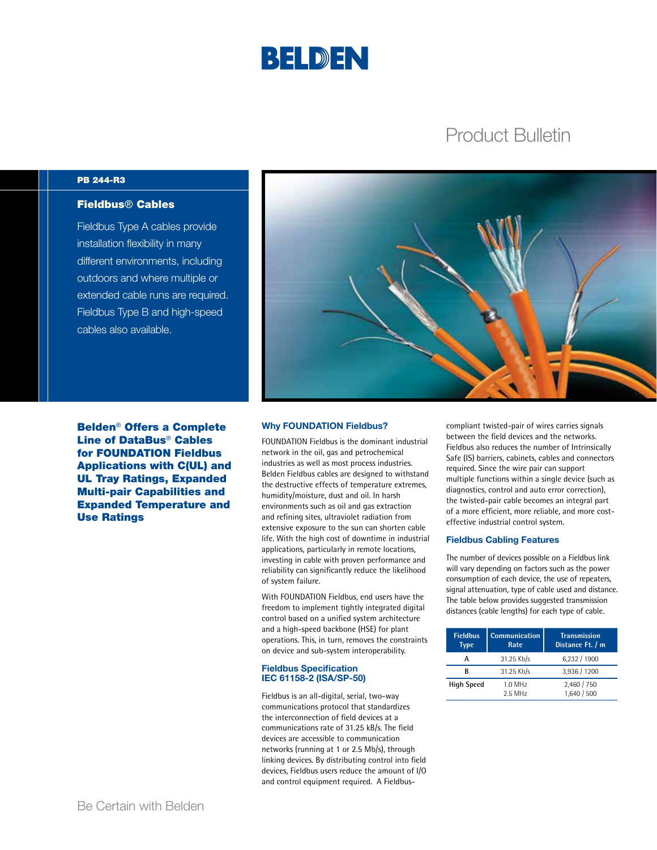

## Product Bulletin

#### PB 244-R3

## Fieldbus® Cables

Fieldbus Type A cables provide installation flexibility in many different environments, including outdoors and where multiple or extended cable runs are required. Fieldbus Type B and high-speed cables also available.



Belden® Offers a Complete Line of DataBus® Cables for FOUNDATION Fieldbus Applications with C(UL) and UL Tray Ratings, Expanded Multi-pair Capabilities and Expanded Temperature and Use Ratings

#### Why FOUNDATION Fieldbus?

FOUNDATION Fieldbus is the dominant industrial network in the oil, gas and petrochemical industries as well as most process industries. Belden Fieldbus cables are designed to withstand the destructive effects of temperature extremes, humidity/moisture, dust and oil. In harsh environments such as oil and gas extraction and refining sites, ultraviolet radiation from extensive exposure to the sun can shorten cable life. With the high cost of downtime in industrial applications, particularly in remote locations, investing in cable with proven performance and reliability can significantly reduce the likelihood of system failure.

With FOUNDATION Fieldbus, end users have the freedom to implement tightly integrated digital control based on a unified system architecture and a high-speed backbone (HSE) for plant operations. This, in turn, removes the constraints on device and sub-system interoperability.

#### Fieldbus Specification IEC 61158-2 (ISA/SP-50)

Fieldbus is an all-digital, serial, two-way communications protocol that standardizes the interconnection of field devices at a communications rate of 31.25 kB/s. The field devices are accessible to communication networks (running at 1 or 2.5 Mb/s), through linking devices. By distributing control into field devices, Fieldbus users reduce the amount of I/O and control equipment required. A Fieldbus-

compliant twisted-pair of wires carries signals between the field devices and the networks. Fieldbus also reduces the number of Intrinsically Safe (IS) barriers, cabinets, cables and connectors required. Since the wire pair can support multiple functions within a single device (such as diagnostics, control and auto error correction), the twisted-pair cable becomes an integral part of a more efficient, more reliable, and more costeffective industrial control system.

#### Fieldbus Cabling Features

The number of devices possible on a Fieldbus link will vary depending on factors such as the power consumption of each device, the use of repeaters, signal attenuation, type of cable used and distance. The table below provides suggested transmission distances (cable lengths) for each type of cable.

| <b>Fieldbus</b><br>Type | <b>Communication</b><br>Rate | <b>Transmission</b><br>Distance Ft. / m |
|-------------------------|------------------------------|-----------------------------------------|
| А                       | 31.25 Kb/s                   | 6,232 / 1900                            |
| R                       | 31.25 Kb/s                   | 3,936 / 1200                            |
| <b>High Speed</b>       | $1.0$ MHz<br>2.5 MHz         | 2,460 / 750<br>1.640 / 500              |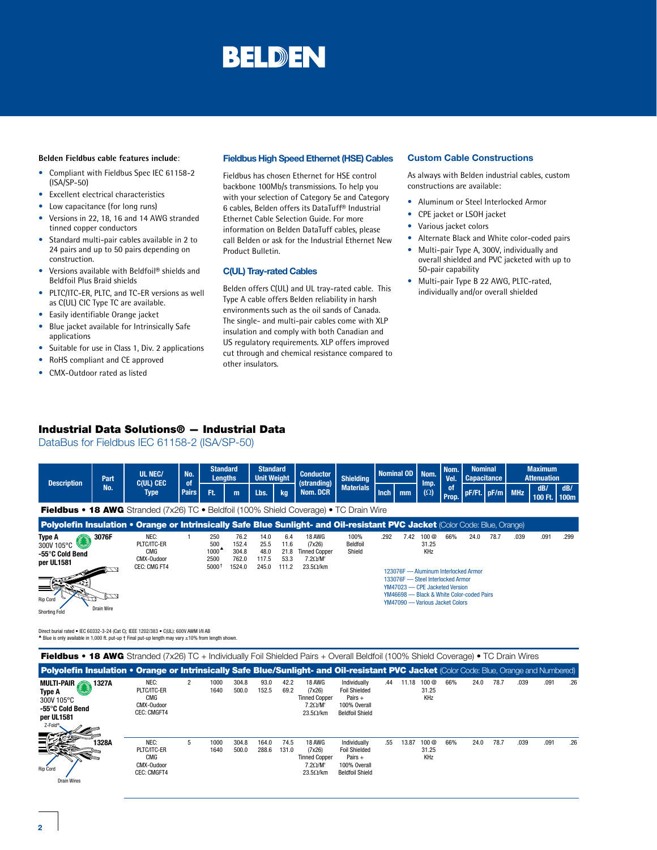#### **Belden Fieldbus cable features include**:

- Compliant with Fieldbus Spec IEC 61158-2  $(ISA/SP-50)$
- Excellent electrical characteristics
- Low capacitance (for long runs)
- Versions in 22, 18, 16 and 14 AWG stranded tinned copper conductors
- Standard multi-pair cables available in 2 to 24 pairs and up to 50 pairs depending on construction.
- Versions available with Beldfoil® shields and Beldfoil Plus Braid shields
- PLTC/ITC-ER, PLTC, and TC-ER versions as well as C(UL) CIC Type TC are available.
- Easily identifiable Orange jacket
- Blue jacket available for Intrinsically Safe applications
- Suitable for use in Class 1, Div. 2 applications
- RoHS compliant and CE approved
- CMX-Outdoor rated as listed

#### Fieldbus High Speed Ethernet (HSE) Cables

Fieldbus has chosen Ethernet for HSE control backbone 100Mb/s transmissions. To help you with your selection of Category 5e and Category 6 cables, Belden offers its DataTuff® Industrial Ethernet Cable Selection Guide. For more information on Belden DataTuff cables, please call Belden or ask for the Industrial Ethernet New Product Bulletin.

#### C(UL) Tray-rated Cables

Belden offers C(UL) and UL tray-rated cable. This Type A cable offers Belden reliability in harsh environments such as the oil sands of Canada. The single- and multi-pair cables come with XLP insulation and comply with both Canadian and US regulatory requirements. XLP offers improved cut through and chemical resistance compared to other insulators.

#### Custom Cable Constructions

As always with Belden industrial cables, custom constructions are available:

- Aluminum or Steel Interlocked Armor
- CPE jacket or LSOH jacket
- Various jacket colors
- Alternate Black and White color-coded pairs
- Multi-pair Type A, 300V, individually and overall shielded and PVC jacketed with up to 50-pair capability
- Multi-pair Type B 22 AWG, PLTC-rated, individually and/or overall shielded

### Industrial Data Solutions® — Industrial Data

DataBus for Fieldbus IEC 61158-2 (ISA/SP-50)



Direct burial rated • IEC 60332-3-24 (Cat C); IEEE 1202/383 • C(UL): 600V AWM I/II AB <sup>p</sup> Blue is only available in 1,000 ft. put-up † Final put-up length may vary ±10% from length shown.

| <b>Fieldbus • 18 AWG</b> Stranded (7x26) TC + Individually Foil Shielded Pairs + Overall Beldfoil (100% Shield Coverage) • TC Drain Wires |                                                                |                |              |                |                |               |                                                                                |                                                                                             |     |       |                      |     |      |      |      |      |     |
|-------------------------------------------------------------------------------------------------------------------------------------------|----------------------------------------------------------------|----------------|--------------|----------------|----------------|---------------|--------------------------------------------------------------------------------|---------------------------------------------------------------------------------------------|-----|-------|----------------------|-----|------|------|------|------|-----|
| Polyolefin Insulation • Orange or Intrinsically Safe Blue/Sunlight- and Oil-resistant PVC Jacket (Color Code: Blue, Orange and Numbered)  |                                                                |                |              |                |                |               |                                                                                |                                                                                             |     |       |                      |     |      |      |      |      |     |
| MULTI-PAIR 327A<br>Type A<br>300V 105°C<br>-55°C Cold Bend<br>per UL1581<br>Z-Fold®                                                       | NEC:<br>PLTC/ITC-ER<br>CMG<br>CMX-Oudoor<br><b>CEC: CMGFT4</b> | $\overline{2}$ | 1000<br>1640 | 304.8<br>500.0 | 93.0<br>152.5  | 42.2<br>69.2  | 18 AWG<br>(7x26)<br><b>Tinned Copper</b><br>$7.2 \Omega/M'$<br>$23.5\Omega/km$ | Individually<br><b>Foil Shielded</b><br>Pairs $+$<br>100% Overall<br><b>Beldfoil Shield</b> | .44 | 11.18 | 100@<br>31.25<br>KHz | 66% | 24.0 | 78.7 | .039 | .091 | .26 |
| 1328A<br><b>Rip Cord</b><br><b>Drain Wires</b>                                                                                            | NEC:<br>PLTC/ITC-ER<br>CMG<br>CMX-Oudoor<br><b>CEC: CMGFT4</b> | 5              | 1000<br>1640 | 304.8<br>500.0 | 164.0<br>288.6 | 74.5<br>131.0 | 18 AWG<br>(7x26)<br><b>Tinned Copper</b><br>$7.2 \Omega/M'$<br>$23.5\Omega/km$ | Individually<br><b>Foil Shielded</b><br>Pairs $+$<br>100% Overall<br><b>Beldfoil Shield</b> | .55 | 13.87 | 100@<br>31.25<br>KHz | 66% | 24.0 | 78.7 | .039 | .091 | .26 |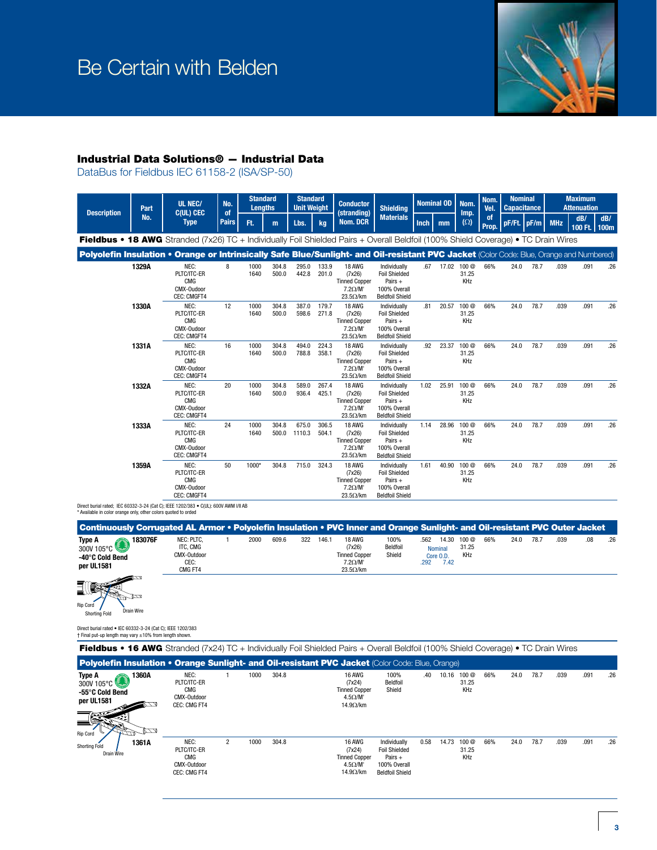

## Industrial Data Solutions® — Industrial Data

DataBus for Fieldbus IEC 61158-2 (ISA/SP-50)



Fieldbus • 18 AWG Stranded (7x26) TC + Individually Foil Shielded Pairs + Overall Beldfoil (100% Shield Coverage) • TC Drain Wires

Polyolefin Insulation • Orange or Intrinsically Safe Blue/Sunlight- and Oil-resistant PVC Jacket (Color Code: Blue, Orange and Numbered)

| 1329A | NEC:<br>PLTC/ITC-ER<br><b>CMG</b><br>CMX-Oudoor<br><b>CEC: CMGFT4</b> | 8  | 1000<br>1640 | 304.8<br>500.0 | 295.0<br>442.8  | 133.9<br>201.0 | 18 AWG<br>(7x26)<br><b>Tinned Copper</b><br>$7.2 \Omega/M'$<br>$23.5\Omega/km$ | Individually<br><b>Foil Shielded</b><br>Pairs $+$<br>100% Overall<br><b>Beldfoil Shield</b> | .67  | 17.02 | 100 <sub>@</sub><br>31.25<br>KHz | 66% | 24.0 | 78.7 | .039 | .091 | .26 |
|-------|-----------------------------------------------------------------------|----|--------------|----------------|-----------------|----------------|--------------------------------------------------------------------------------|---------------------------------------------------------------------------------------------|------|-------|----------------------------------|-----|------|------|------|------|-----|
| 1330A | NEC:<br>PLTC/ITC-ER<br><b>CMG</b><br>CMX-Oudoor<br><b>CEC: CMGFT4</b> | 12 | 1000<br>1640 | 304.8<br>500.0 | 387.0<br>598.6  | 179.7<br>271.8 | 18 AWG<br>(7x26)<br><b>Tinned Copper</b><br>$7.2 \Omega/M'$<br>$23.5\Omega/km$ | Individually<br><b>Foil Shielded</b><br>Pairs $+$<br>100% Overall<br><b>Beldfoil Shield</b> | .81  | 20.57 | 100 <sub>@</sub><br>31.25<br>KHz | 66% | 24.0 | 78.7 | .039 | .091 | .26 |
| 1331A | NEC:<br>PLTC/ITC-ER<br><b>CMG</b><br>CMX-Oudoor<br>CEC: CMGFT4        | 16 | 1000<br>1640 | 304.8<br>500.0 | 494.0<br>788.8  | 224.3<br>358.1 | 18 AWG<br>(7x26)<br><b>Tinned Copper</b><br>$7.2 \Omega/M'$<br>$23.5\Omega/km$ | Individually<br><b>Foil Shielded</b><br>Pairs $+$<br>100% Overall<br><b>Beldfoil Shield</b> | .92  | 23.37 | 100 <sub>@</sub><br>31.25<br>KHz | 66% | 24.0 | 78.7 | .039 | .091 | .26 |
| 1332A | NEC:<br>PLTC/ITC-ER<br><b>CMG</b><br>CMX-Oudoor<br><b>CEC: CMGFT4</b> | 20 | 1000<br>1640 | 304.8<br>500.0 | 589.0<br>936.4  | 267.4<br>425.1 | 18 AWG<br>(7x26)<br><b>Tinned Copper</b><br>$7.2 \Omega/M'$<br>$23.5\Omega/km$ | Individually<br><b>Foil Shielded</b><br>Pairs $+$<br>100% Overall<br><b>Beldfoil Shield</b> | 1.02 | 25.91 | 100 <sub>@</sub><br>31.25<br>KHz | 66% | 24.0 | 78.7 | .039 | .091 | .26 |
| 1333A | NEC:<br>PLTC/ITC-ER<br><b>CMG</b><br>CMX-Oudoor<br><b>CEC: CMGFT4</b> | 24 | 1000<br>1640 | 304.8<br>500.0 | 675.0<br>1110.3 | 306.5<br>504.1 | 18 AWG<br>(7x26)<br><b>Tinned Copper</b><br>$7.2 \Omega/M'$<br>$23.5\Omega/km$ | Individually<br><b>Foil Shielded</b><br>Pairs $+$<br>100% Overall<br><b>Beldfoil Shield</b> | 1.14 | 28.96 | 100 <sub>@</sub><br>31.25<br>KHz | 66% | 24.0 | 78.7 | .039 | .091 | .26 |
| 1359A | NEC:<br>PLTC/ITC-ER<br><b>CMG</b><br>CMX-Oudoor<br><b>CEC: CMGFT4</b> | 50 | 1000*        | 304.8          | 715.0           | 324.3          | 18 AWG<br>(7x26)<br><b>Tinned Copper</b><br>$7.2 \Omega/M'$<br>$23.5\Omega/km$ | Individually<br><b>Foil Shielded</b><br>Pairs $+$<br>100% Overall<br><b>Beldfoil Shield</b> | 1.61 | 40.90 | 100 <sub>@</sub><br>31.25<br>KHz | 66% | 24.0 | 78.7 | .039 | .091 | .26 |

Direct burial rated; IEC 60332-3-24 (Cat C); IEEE 1202/383 • C(UL): 600V AWM I/II AB \* Available in color orange only, other colors quoted to orded

| Continuously Corrugated AL Armor • Polyolefin Insulation • PVC Inner and Orange Sunlight- and Oil-resistant PVC Outer Jacket |                                                          |      |       |     |       |                                                                                              |                            |              |                                              |                       |     |      |      |      |     |
|------------------------------------------------------------------------------------------------------------------------------|----------------------------------------------------------|------|-------|-----|-------|----------------------------------------------------------------------------------------------|----------------------------|--------------|----------------------------------------------|-----------------------|-----|------|------|------|-----|
| 183076F<br>Type A<br>300V 105°C<br>-40°C Cold Bend<br>per UL1581                                                             | NEC: PLTC.<br>ITC. CMG<br>CMX-Outdoor<br>CEC:<br>CMG FT4 | 2000 | 609.6 | 322 | 146.7 | <b>18 AWG</b><br>(7x26)<br><b>Tinned Copper</b><br>$7.2 \Omega/M'$<br>$23.5\Omega/\text{km}$ | 100%<br>Beldfoil<br>Shield | .562<br>.292 | 14 30<br><b>Nominal</b><br>Core O.D.<br>7.42 | 100 @<br>31.25<br>KHz | 66% | 24.0 | 78.7 | .039 | .26 |



Direct burial rated • IEC 60332-3-24 (Cat C); IEEE 1202/383

| DIRECT DUITSIT FALLED . IEC 00332-3-24 (CSL C), IEEE TZUZ/383<br>† Final put-up length may vary ±10% from length shown. |             |                                                                  |                |      |       |                                                                                                                                           |                                                                                             |      |       |                                  |     |      |      |      |      |     |
|-------------------------------------------------------------------------------------------------------------------------|-------------|------------------------------------------------------------------|----------------|------|-------|-------------------------------------------------------------------------------------------------------------------------------------------|---------------------------------------------------------------------------------------------|------|-------|----------------------------------|-----|------|------|------|------|-----|
|                                                                                                                         |             |                                                                  |                |      |       | <b>Fieldbus • 16 AWG</b> Stranded (7x24) TC + Individually Foil Shielded Pairs + Overall Beldfoil (100% Shield Coverage) • TC Drain Wires |                                                                                             |      |       |                                  |     |      |      |      |      |     |
|                                                                                                                         |             |                                                                  |                |      |       | Polyolefin Insulation • Orange Sunlight- and Oil-resistant PVC Jacket (Color Code: Blue, Orange)                                          |                                                                                             |      |       |                                  |     |      |      |      |      |     |
| Type A<br>300V 105°C<br>-55°C Cold Bend<br>per UL1581<br>Rip Cord                                                       | 1360A<br>CO | NEC:<br>PLTC/ITC-ER<br><b>CMG</b><br>CMX-Outdoor<br>CEC: CMG FT4 |                | 1000 | 304.8 | 16 AWG<br>(7x24)<br><b>Tinned Copper</b><br>$4.5\Omega/M'$<br>$14.9 \Omega/km$                                                            | 100%<br>Beldfoil<br>Shield                                                                  | .40  | 10.16 | 100 <sub>@</sub><br>31.25<br>KHz | 66% | 24.0 | 78.7 | .039 | .091 | .26 |
| <b>Shorting Fold</b><br>Drain Wire                                                                                      | 1361A       | NEC:<br>PLTC/ITC-ER<br><b>CMG</b><br>CMX-Outdoor<br>CEC: CMG FT4 | $\overline{2}$ | 1000 | 304.8 | <b>16 AWG</b><br>(7x24)<br><b>Tinned Copper</b><br>$4.5 \Omega/M'$<br>$14.9 \Omega/km$                                                    | Individually<br><b>Foil Shielded</b><br>Pairs $+$<br>100% Overall<br><b>Beldfoil Shield</b> | 0.58 | 14.73 | 100 @<br>31.25<br>KHz            | 66% | 24.0 | 78.7 | .039 | .091 | .26 |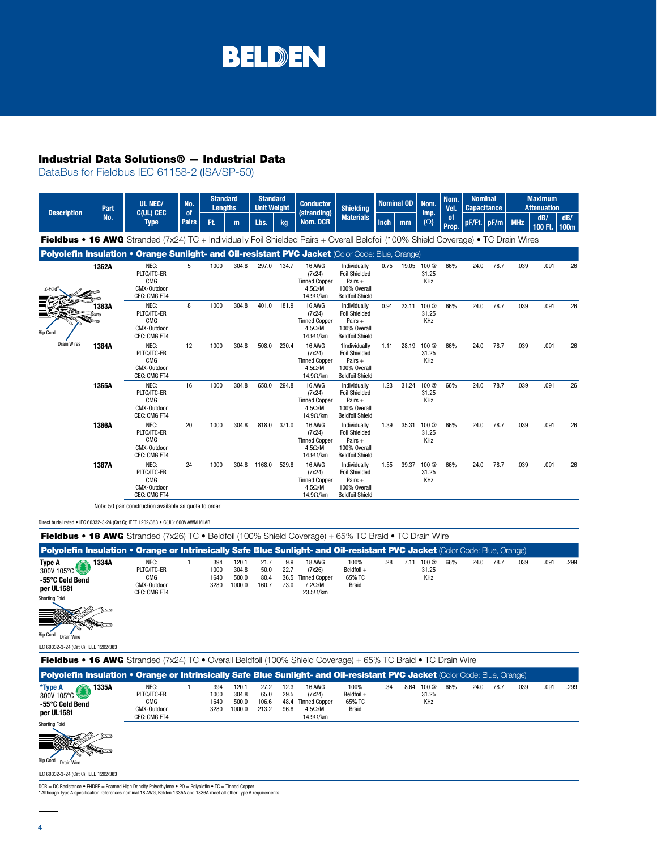## Industrial Data Solutions® — Industrial Data

DataBus for Fieldbus IEC 61158-2 (ISA/SP-50)

| <b>Description</b> | Part  | <b>UL NEC/</b><br><b>C(UL) CEC</b>                                                                                                 | No.<br><sub>of</sub> | <b>Standard</b><br><b>Lenaths</b> |       | <b>Standard</b><br><b>Unit Weight</b> |       | <b>Conductor</b><br>(stranding)                                                        | <b>Shielding</b>                                                                             |             | <b>Nominal OD</b> | Nom.                             | Nom.<br>Vel.       | <b>Nominal</b><br><b>Capacitance</b> |      |            | <b>Maximum</b><br><b>Attenuation</b> |                    |
|--------------------|-------|------------------------------------------------------------------------------------------------------------------------------------|----------------------|-----------------------------------|-------|---------------------------------------|-------|----------------------------------------------------------------------------------------|----------------------------------------------------------------------------------------------|-------------|-------------------|----------------------------------|--------------------|--------------------------------------|------|------------|--------------------------------------|--------------------|
|                    | No.   | <b>Type</b>                                                                                                                        | <b>Pairs</b>         | Ft.                               | m     | Lbs.                                  | kg    | <b>Nom. DCR</b>                                                                        | <b>Materials</b>                                                                             | <b>Inch</b> | mm                | Imp.<br>$(\Omega)$               | of<br><b>Prop.</b> | pF/Ft. pF/m                          |      | <b>MHz</b> | dB/<br>100 Ft.                       | dB/<br><b>100m</b> |
|                    |       | Fieldbus • 16 AWG Stranded (7x24) TC + Individually Foil Shielded Pairs + Overall Beldfoil (100% Shield Coverage) • TC Drain Wires |                      |                                   |       |                                       |       |                                                                                        |                                                                                              |             |                   |                                  |                    |                                      |      |            |                                      |                    |
|                    |       | Polyolefin Insulation • Orange Sunlight- and Oil-resistant PVC Jacket (Color Code: Blue, Orange)                                   |                      |                                   |       |                                       |       |                                                                                        |                                                                                              |             |                   |                                  |                    |                                      |      |            |                                      |                    |
| Z-Fold®            | 1362A | NEC:<br>PLTC/ITC-ER<br><b>CMG</b><br>CMX-Outdoor<br>CEC: CMG FT4                                                                   | 5                    | 1000                              | 304.8 | 297.0                                 | 134.7 | 16 AWG<br>(7x24)<br><b>Tinned Copper</b><br>$4.5 \Omega/M'$<br>$14.9 \Omega/km$        | Individually<br><b>Foil Shielded</b><br>Pairs $+$<br>100% Overall<br><b>Beldfoil Shield</b>  | 0.75        | 19.05             | 100 @<br>31.25<br>KHz            | 66%                | 24.0                                 | 78.7 | .039       | .091                                 | .26                |
| Rip Cord           | 1363A | NEC:<br>PLTC/ITC-ER<br><b>CMG</b><br>CMX-Outdoor<br>CEC: CMG FT4                                                                   | 8                    | 1000                              | 304.8 | 401.0                                 | 181.9 | 16 AWG<br>(7x24)<br><b>Tinned Copper</b><br>$4.5 \Omega/M'$<br>$14.9 \Omega/km$        | Individually<br><b>Foil Shielded</b><br>Pairs +<br>100% Overall<br><b>Beldfoil Shield</b>    | 0.91        | 23.11             | 100 <sub>@</sub><br>31.25<br>KHz | 66%                | 24.0                                 | 78.7 | .039       | .091                                 | .26                |
| <b>Drain Wires</b> | 1364A | NEC:<br>PLTC/ITC-ER<br><b>CMG</b><br>CMX-Outdoor<br>CEC: CMG FT4                                                                   | 12                   | 1000                              | 304.8 | 508.0                                 | 230.4 | 16 AWG<br>(7x24)<br><b>Tinned Copper</b><br>$4.5 \Omega/M'$<br>14.9 $\Omega$ /km       | 1Individually<br><b>Foil Shielded</b><br>Pairs $+$<br>100% Overall<br><b>Beldfoil Shield</b> | 1.11        |                   | 28.19 100 @<br>31.25<br>KHz      | 66%                | 24.0                                 | 78.7 | .039       | .091                                 | .26                |
|                    | 1365A | NEC:<br>PLTC/ITC-ER<br><b>CMG</b><br>CMX-Outdoor<br>CEC: CMG FT4                                                                   | 16                   | 1000                              | 304.8 | 650.0                                 | 294.8 | 16 AWG<br>(7x24)<br><b>Tinned Copper</b><br>$4.5 \Omega/M'$<br>14.9 $\Omega$ /km       | Individually<br><b>Foil Shielded</b><br>Pairs $+$<br>100% Overall<br><b>Beldfoil Shield</b>  | 1.23        | 31.24             | 100 @<br>31.25<br>KHz            | 66%                | 24.0                                 | 78.7 | .039       | .091                                 | .26                |
|                    | 1366A | NEC:<br>PLTC/ITC-ER<br><b>CMG</b><br>CMX-Outdoor<br>CEC: CMG FT4                                                                   | 20                   | 1000                              | 304.8 | 818.0                                 | 371.0 | 16 AWG<br>(7x24)<br><b>Tinned Copper</b><br>$4.5 \Omega/M'$<br>$14.9 \Omega/km$        | Individually<br><b>Foil Shielded</b><br>Pairs $+$<br>100% Overall<br><b>Beldfoil Shield</b>  | 1.39        | 35.31             | 100 <sub>@</sub><br>31.25<br>KHz | 66%                | 24.0                                 | 78.7 | .039       | .091                                 | .26                |
|                    | 1367A | NEC:<br>PLTC/ITC-ER<br><b>CMG</b><br>CMX-Outdoor<br>CEC: CMG FT4                                                                   | 24                   | 1000                              | 304.8 | 1168.0                                | 529.8 | <b>16 AWG</b><br>(7x24)<br><b>Tinned Copper</b><br>$4.5 \Omega/M$<br>14.9 $\Omega$ /km | Individually<br><b>Foil Shielded</b><br>Pairs +<br>100% Overall<br><b>Beldfoil Shield</b>    | 1.55        | 39.37             | 100 @<br>31.25<br>KHz            | 66%                | 24.0                                 | 78.7 | .039       | .091                                 | .26                |

Note: 50 pair construction available as quote to order

Direct burial rated • IEC 60332-3-24 (Cat C); IEEE 1202/383 • C(UL): 600V AWM I/II AB

| <b>Fieldbus • 18 AWG</b> Stranded (7x26) TC • Beldfoil (100% Shield Coverage) + 65% TC Braid • TC Drain Wire                |                                                                                                                             |  |                             |                                   |                                |                              |                                                                                        |                                       |     |      |                                  |     |      |      |      |      |      |
|-----------------------------------------------------------------------------------------------------------------------------|-----------------------------------------------------------------------------------------------------------------------------|--|-----------------------------|-----------------------------------|--------------------------------|------------------------------|----------------------------------------------------------------------------------------|---------------------------------------|-----|------|----------------------------------|-----|------|------|------|------|------|
| Polyolefin Insulation • Orange or Intrinsically Safe Blue Sunlight- and Oil-resistant PVC Jacket (Color Code: Blue, Orange) |                                                                                                                             |  |                             |                                   |                                |                              |                                                                                        |                                       |     |      |                                  |     |      |      |      |      |      |
| Type A<br>1334A<br>300V 105 $^{\circ}$ C<br>-55°C Cold Bend<br>per UL1581<br><b>Shorting Fold</b>                           | NEC:<br>PLTC/ITC-ER<br><b>CMG</b><br>CMX-Outdoor<br>CEC: CMG FT4                                                            |  | 394<br>1000<br>1640<br>3280 | 120.1<br>304.8<br>500.0<br>1000.0 | 21.7<br>50.0<br>80.4<br>160.7  | 9.9<br>22.7<br>36.5<br>73.0  | 18 AWG<br>(7x26)<br><b>Tinned Copper</b><br>$7.2 \Omega/M'$<br>$23.5\Omega/km$         | 100%<br>Beldfoil +<br>65% TC<br>Braid | .28 |      | 7.11 100 @<br>31.25<br>KHz       | 66% | 24.0 | 78.7 | .039 | .091 | .299 |
| Rip Cord<br>Drain Wire<br>IEC 60332-3-24 (Cat C): IEEE 1202/383                                                             |                                                                                                                             |  |                             |                                   |                                |                              |                                                                                        |                                       |     |      |                                  |     |      |      |      |      |      |
| <b>Fieldbus • 16 AWG</b> Stranded (7x24) TC • Overall Beldfoil (100% Shield Coverage) + 65% TC Braid • TC Drain Wire        |                                                                                                                             |  |                             |                                   |                                |                              |                                                                                        |                                       |     |      |                                  |     |      |      |      |      |      |
|                                                                                                                             | Polyolefin Insulation • Orange or Intrinsically Safe Blue Sunlight- and Oil-resistant PVC Jacket (Color Code: Blue, Orange) |  |                             |                                   |                                |                              |                                                                                        |                                       |     |      |                                  |     |      |      |      |      |      |
| *Type A<br>1335A<br>300V 105 $^{\circ}$ C<br>-55°C Cold Bend<br>per UL1581                                                  | NEC:<br>PLTC/ITC-ER<br><b>CMG</b><br>CMX-Outdoor<br>CEC: CMG FT4                                                            |  | 394<br>1000<br>1640<br>3280 | 120.1<br>304.8<br>500.0<br>1000.0 | 27.2<br>65.0<br>106.6<br>213.2 | 12.3<br>29.5<br>48.4<br>96.8 | <b>16 AWG</b><br>(7x24)<br><b>Tinned Copper</b><br>$4.5 \Omega/M'$<br>$14.9 \Omega/km$ | 100%<br>Beldfoil +<br>65% TC<br>Braid | .34 | 8.64 | 100 <sub>@</sub><br>31.25<br>KHz | 66% | 24.0 | 78.7 | .039 | .091 | .299 |
| <b>Shorting Fold</b><br>Rip Cord Drain Wire                                                                                 |                                                                                                                             |  |                             |                                   |                                |                              |                                                                                        |                                       |     |      |                                  |     |      |      |      |      |      |
| IEC 60332-3-24 (Cat C): IEEE 1202/383                                                                                       |                                                                                                                             |  |                             |                                   |                                |                              |                                                                                        |                                       |     |      |                                  |     |      |      |      |      |      |

IEC 60332-3-24 (Cat C); IEEE 1202/383

DCR = DC Resistance • FHDPE = Foamed High Density Polyethylene • PO = Polyolefin • TC = Tinned Copper \* Although Type A specification references nominal 18 AWG, Belden 1335A and 1336A meet all other Type A requirements.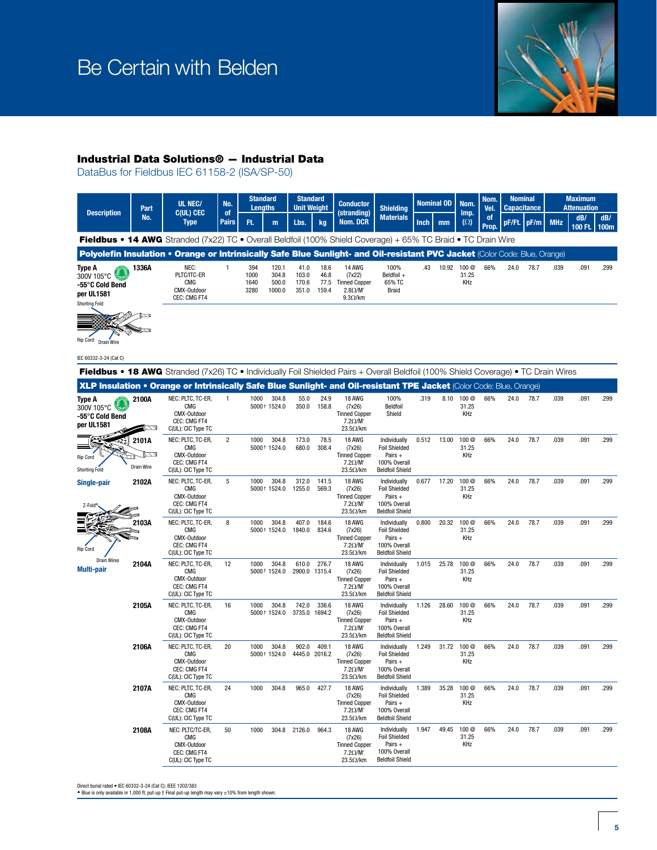

### Industrial Data Solutions® — Industrial Data

DataBus for Fieldbus IEC 61158-2 (ISA/SP-50)



Direct burial rated • IEC 60332-3-24 (Cat C); IEEE 1202/383

P Blue is only available in 1,000 ft. put-up  $\dagger$  Final put-up length may vary  $\pm 10\%$  from length shown.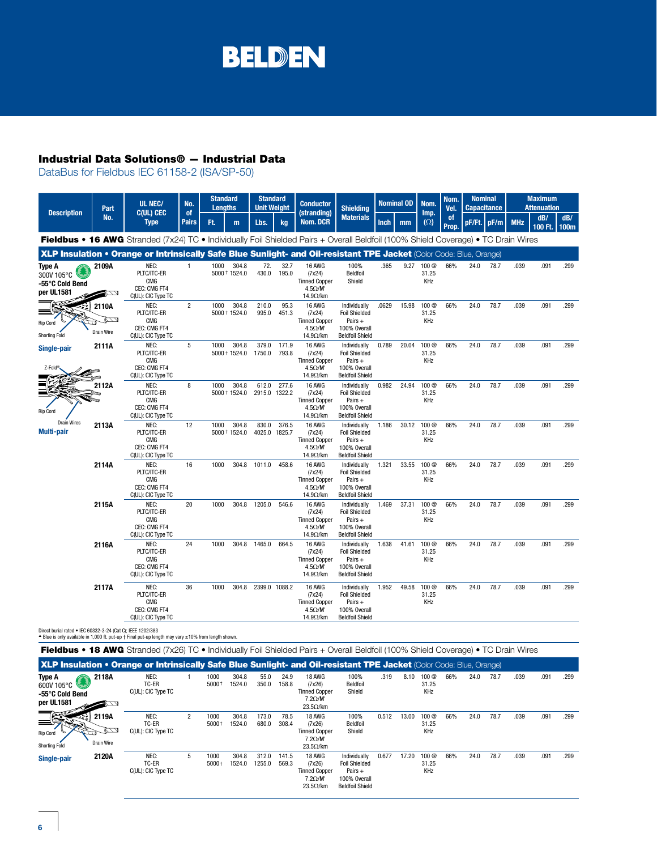## Industrial Data Solutions® — Industrial Data

DataBus for Fieldbus IEC 61158-2 (ISA/SP-50)

|                                                              | Part                                | UL NEC/                                                                                                                                   | No.                | <b>Standard</b><br><b>Lenaths</b> |                        | <b>Standard</b><br><b>Unit Weight</b> |                | <b>Conductor</b>                                                                 | <b>Shielding</b>                                                                            | <b>Nominal OD</b> |       | Nom.                                    | Nom.<br>Vel.           | <b>Nominal</b><br><b>Capacitance</b> |               |            | <b>Maximum</b><br><b>Attenuation</b> |             |
|--------------------------------------------------------------|-------------------------------------|-------------------------------------------------------------------------------------------------------------------------------------------|--------------------|-----------------------------------|------------------------|---------------------------------------|----------------|----------------------------------------------------------------------------------|---------------------------------------------------------------------------------------------|-------------------|-------|-----------------------------------------|------------------------|--------------------------------------|---------------|------------|--------------------------------------|-------------|
| <b>Description</b>                                           | No.                                 | <b>C(UL) CEC</b><br><b>Type</b>                                                                                                           | of<br><b>Pairs</b> | Ft.                               | m                      | Lbs.                                  | kg             | (stranding)<br><b>Nom. DCR</b>                                                   | <b>Materials</b>                                                                            | <b>Inch</b>       | mm    | Imp.<br>$(\Omega)$                      | <sup>of</sup><br>Prop. |                                      | $pF/Ft.$ pF/m | <b>MHz</b> | dB/<br>100 Ft.                       | dB/<br>100m |
|                                                              |                                     | <b>Fieldbus • 16 AWG</b> Stranded (7x24) TC • Individually Foil Shielded Pairs + Overall Beldfoil (100% Shield Coverage) • TC Drain Wires |                    |                                   |                        |                                       |                |                                                                                  |                                                                                             |                   |       |                                         |                        |                                      |               |            |                                      |             |
|                                                              |                                     | XLP Insulation • Orange or Intrinsically Safe Blue Sunlight- and Oil-resistant TPE Jacket (Color Code: Blue, Orange)                      |                    |                                   |                        |                                       |                |                                                                                  |                                                                                             |                   |       |                                         |                        |                                      |               |            |                                      |             |
| <b>Type A</b><br>300V 105°C<br>-55°C Cold Bend<br>per UL1581 | 2109A<br>74                         | NEC:<br>PLTC/ITC-ER<br><b>CMG</b><br>CEC: CMG FT4<br>C(UL): CIC Type TC                                                                   | $\mathbf{1}$       | 1000                              | 304.8<br>5000 + 1524.0 | 72.<br>430.0                          | 32.7<br>195.0  | 16 AWG<br>(7x24)<br><b>Tinned Copper</b><br>$4.5 \Omega/M'$<br>14.9 $\Omega$ /km | 100%<br>Beldfoil<br>Shield                                                                  | .365              | 9.27  | 100 @<br>31.25<br><b>KHz</b>            | 66%                    | 24.0                                 | 78.7          | .039       | .091                                 | .299        |
| Rip Cord<br><b>Shorting Fold</b>                             | 2110A<br>$\mathbb{Z}$<br>Drain Wire | NEC:<br>PLTC/ITC-ER<br><b>CMG</b><br>CEC: CMG FT4<br>C(UL): CIC Type TC                                                                   | $\overline{2}$     | 1000                              | 304.8<br>5000 + 1524.0 | 210.0<br>995.0                        | 95.3<br>451.3  | 16 AWG<br>(7x24)<br><b>Tinned Copper</b><br>$4.5 \Omega/M'$<br>14.9 $\Omega$ /km | Individually<br><b>Foil Shielded</b><br>Pairs +<br>100% Overall<br><b>Beldfoil Shield</b>   | .0629             | 15.98 | 100 <sub>@</sub><br>31.25<br>KHz        | 66%                    | 24.0                                 | 78.7          | .039       | .091                                 | .299        |
| Single-pair<br>Z-Fold®                                       | 2111A                               | NEC:<br>PLTC/ITC-ER<br><b>CMG</b><br>CEC: CMG FT4<br>C(UL): CIC Type TC                                                                   | 5                  | 1000                              | 304.8<br>5000 + 1524.0 | 379.0<br>1750.0                       | 171.9<br>793.8 | 16 AWG<br>(7x24)<br><b>Tinned Copper</b><br>$4.5 \Omega/M$<br>14.9 $\Omega$ /km  | Individually<br><b>Foil Shielded</b><br>Pairs $+$<br>100% Overall<br><b>Beldfoil Shield</b> | 0.789             | 20.04 | 100 <sub>@</sub><br>31.25<br>KHz        | 66%                    | 24.0                                 | 78.7          | .039       | .091                                 | .299        |
| Rip Cord                                                     | 2112A                               | NEC:<br>PLTC/ITC-ER<br><b>CMG</b><br>CEC: CMG FT4<br>C(UL): CIC Type TC                                                                   | 8                  | 1000                              | 304.8<br>5000 + 1524.0 | 612.0<br>2915.0 1322.2                | 277.6          | 16 AWG<br>(7x24)<br><b>Tinned Copper</b><br>$4.5 \Omega/M'$<br>$14.9 \Omega/km$  | Individually<br><b>Foil Shielded</b><br>Pairs +<br>100% Overall<br><b>Beldfoil Shield</b>   | 0.982             | 24.94 | 100 @<br>31.25<br>KHz                   | 66%                    | 24.0                                 | 78.7          | .039       | .091                                 | .299        |
| <b>Drain Wires</b><br><b>Multi-pair</b>                      | 2113A                               | NEC:<br>PLTC/ITC-ER<br><b>CMG</b><br>CEC: CMG FT4<br>C(UL): CIC Type TC                                                                   | 12                 | 1000                              | 304.8<br>5000 + 1524.0 | 830.0<br>4025.0 1825.7                | 376.5          | 16 AWG<br>(7x24)<br><b>Tinned Copper</b><br>$4.5 \Omega/M'$<br>$14.9 \Omega/km$  | Individually<br><b>Foil Shielded</b><br>Pairs +<br>100% Overall<br><b>Beldfoil Shield</b>   | 1.186             | 30.12 | 100 @<br>31.25<br>KHz                   | 66%                    | 24.0                                 | 78.7          | .039       | .091                                 | .299        |
|                                                              | 2114A                               | NEC:<br>PLTC/ITC-ER<br><b>CMG</b><br>CEC: CMG FT4<br>C(UL): CIC Type TC                                                                   | 16                 | 1000                              | 304.8                  | 1011.0                                | 458.6          | 16 AWG<br>(7x24)<br><b>Tinned Copper</b><br>$4.5 \Omega/M'$<br>14.9 $\Omega$ /km | Individually<br><b>Foil Shielded</b><br>Pairs +<br>100% Overall<br><b>Beldfoil Shield</b>   | 1.321             | 33.55 | 100 <sub>@</sub><br>31.25<br><b>KHz</b> | 66%                    | 24.0                                 | 78.7          | .039       | .091                                 | .299        |
|                                                              | 2115A                               | NEC:<br>PLTC/ITC-ER<br><b>CMG</b><br>CEC: CMG FT4<br>C(UL): CIC Type TC                                                                   | 20                 | 1000                              | 304.8                  | 1205.0                                | 546.6          | 16 AWG<br>(7x24)<br><b>Tinned Copper</b><br>$4.5 \Omega/M'$<br>14.9 $\Omega$ /km | Individually<br><b>Foil Shielded</b><br>Pairs +<br>100% Overall<br><b>Beldfoil Shield</b>   | 1.469             | 37.31 | 100 <sub>@</sub><br>31.25<br>KHz        | 66%                    | 24.0                                 | 78.7          | .039       | .091                                 | .299        |
|                                                              | 2116A                               | NEC:<br>PLTC/ITC-ER<br><b>CMG</b><br>CEC: CMG FT4<br>C(UL): CIC Type TC                                                                   | 24                 | 1000                              | 304.8                  | 1465.0                                | 664.5          | 16 AWG<br>(7x24)<br><b>Tinned Copper</b><br>$4.5 \Omega/M'$<br>14.9 $\Omega$ /km | Individually<br><b>Foil Shielded</b><br>Pairs +<br>100% Overall<br><b>Beldfoil Shield</b>   | 1.638             | 41.61 | 100 <sub>@</sub><br>31.25<br>KHz        | 66%                    | 24.0                                 | 78.7          | .039       | .091                                 | .299        |
|                                                              | 2117A                               | NEC:<br>PLTC/ITC-ER<br><b>CMG</b><br>CEC: CMG FT4<br>C(UL): CIC Type TC                                                                   | 36                 | 1000                              | 304.8                  | 2399.0 1088.2                         |                | 16 AWG<br>(7x24)<br><b>Tinned Copper</b><br>$4.5 \Omega/M'$<br>$14.9\Omega/km$   | Individually<br><b>Foil Shielded</b><br>Pairs +<br>100% Overall<br><b>Beldfoil Shield</b>   | 1.952             | 49.58 | 100 @<br>31.25<br>KHz                   | 66%                    | 24.0                                 | 78.7          | .039       | .091                                 | .299        |

Direct burial rated ● IEC 60332-3-24 (Cat C); IEEE 1202/383<br>▲ Blue is only available in 1,000 ft. put-up † Final put-up length may vary ±10% from length shown.

C(UL): CIC Type TC

Fieldbus • 18 AWG Stranded (7x26) TC • Individually Foil Shielded Pairs + Overall Beldfoil (100% Shield Coverage) • TC Drain Wires XLP Insulation • Orange or Intrinsically Safe Blue Sunlight- and Oil-resistant TPE Jacket (Color Code: Blue, Orange) **2118A** NEC:  $1 1000$  $304.8$ 55.0 24.9 18 AWG 100% .319 8.10 100 @ 66% 24.0 78.7 .039 .091 .299 **Type A** 600V 105°C TC-ER 1524.0 (7x26) 31.25 Beldfoil 5000 † 350.0 158.8 C(UL): CIC Type TC Tinned Copper Shield KHz **-55**°**C Cold Bend**  7.2Ω/M' **per UL1581**  $\mathbb{Z}$  $23.5Ω/km$ **2119A** NEC: 2 1000 304.8 173.0 78.5 18 AWG 100% 0.512 13.00 100 @ 66% 24.0 78.7 .039 .091 .299  $\equiv$ TC-ER 1524.0 680.0 308.4 (7x26) Beldfoil 31.25 5000 † <u>en Ca</u> C(UL): CIC Type TC Tinned Copper Shield KHz Rip Cord 7.2Ω/M' Shorting Fold Drain Wire  $23.5Ω/km$ **2120A** NEC: 5 1000 304.8 312.0 141.5 18 AWG Individually 0.677 17.20 100 @ 66% 24.0 78.7 .039 .091 .299 **Single-pair**TC-ER 1524.0 1255.0 569.3 Foil Shielded 31.25 5000 † (7x26) Tinned Copper

7.2Ω/M' 23.5Ω/km

Pairs + 100% Overall Beldfoil Shield KHz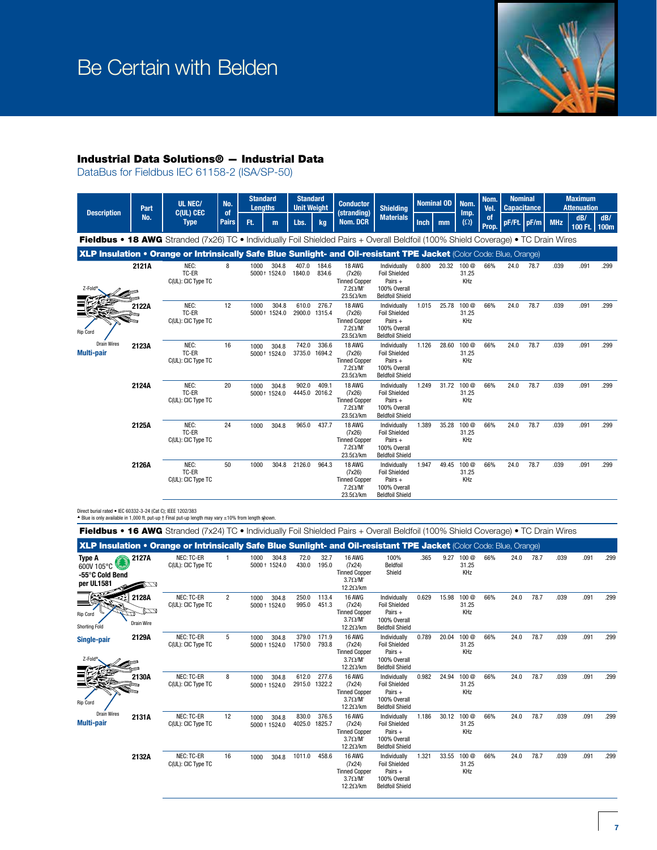

## Industrial Data Solutions® — Industrial Data

DataBus for Fieldbus IEC 61158-2 (ISA/SP-50)



| Z-Fold®                          |       | ו שישו<br>C(UL): CIC Type TC        |    | <b>JUUU</b> IJLT.U               | $10 - 0.0$ | ט.דטט                  | $(1 \wedge 2 \vee)$<br><b>Tinned Copper</b><br>$7.2 \Omega/M'$<br>$23.5\Omega/km$     | <b>TUILOINGULU</b><br>Pairs $+$<br>100% Overall<br><b>Beldfoil Shield</b>                   |       |       | <b>UI.LU</b><br>KHz   |     |      |      |      |      |      |
|----------------------------------|-------|-------------------------------------|----|----------------------------------|------------|------------------------|---------------------------------------------------------------------------------------|---------------------------------------------------------------------------------------------|-------|-------|-----------------------|-----|------|------|------|------|------|
| Rip Cord                         | 2122A | NEC:<br>TC-ER<br>C(UL): CIC Type TC | 12 | 1000<br>304.8<br>1524.0<br>5000+ | 610.0      | 276.7<br>2900.0 1315.4 | <b>18 AWG</b><br>(7x26)<br><b>Tinned Copper</b><br>$7.2 \Omega/M'$<br>$23.5\Omega/km$ | Individually<br><b>Foil Shielded</b><br>Pairs $+$<br>100% Overall<br><b>Beldfoil Shield</b> | 1.015 | 25.78 | 100 @<br>31.25<br>KHz | 66% | 24.0 | 78.7 | .039 | .091 | .299 |
| <b>Drain Wires</b><br>Multi-pair | 2123A | NEC:<br>TC-ER<br>C(UL): CIC Type TC | 16 | 1000<br>304.8<br>5000 + 1524.0   | 742.0      | 336.6<br>3735.0 1694.2 | 18 AWG<br>(7x26)<br><b>Tinned Copper</b><br>$7.2 \Omega/M'$<br>$23.5\Omega/km$        | Individually<br><b>Foil Shielded</b><br>Pairs $+$<br>100% Overall<br><b>Beldfoil Shield</b> | 1.126 | 28.60 | 100 @<br>31.25<br>KHz | 66% | 24.0 | 78.7 | .039 | .091 | .299 |
|                                  | 2124A | NEC:<br>TC-ER<br>C(UL): CIC Type TC | 20 | 1000<br>304.8<br>5000 + 1524.0   | 902.0      | 409.1<br>4445.0 2016.2 | <b>18 AWG</b><br>(7x26)<br><b>Tinned Copper</b><br>$7.2 \Omega/M'$<br>$23.5\Omega/km$ | Individually<br><b>Foil Shielded</b><br>Pairs $+$<br>100% Overall<br><b>Beldfoil Shield</b> | 1.249 | 31.72 | 100 @<br>31.25<br>KHz | 66% | 24.0 | 78.7 | .039 | .091 | .299 |
|                                  | 2125A | NEC:<br>TC-ER<br>C(UL): CIC Type TC | 24 | 304.8<br>1000                    | 965.0      | 437.7                  | 18 AWG<br>(7x26)<br><b>Tinned Copper</b><br>$7.2 \Omega/M'$<br>$23.5\Omega/km$        | Individually<br><b>Foil Shielded</b><br>Pairs $+$<br>100% Overall<br><b>Beldfoil Shield</b> | 1.389 | 35.28 | 100 @<br>31.25<br>KHz | 66% | 24.0 | 78.7 | .039 | .091 | .299 |
|                                  | 2126A | NEC:<br>TC-ER<br>C(UL): CIC Type TC | 50 | 304.8<br>1000                    | 2126.0     | 964.3                  | <b>18 AWG</b><br>(7x26)<br><b>Tinned Copper</b><br>$7.2 \Omega/M'$<br>$23.5\Omega/km$ | Individually<br><b>Foil Shielded</b><br>Pairs +<br>100% Overall<br><b>Beldfoil Shield</b>   | 1.947 | 49.45 | 100 @<br>31.25<br>KHz | 66% | 24.0 | 78.7 | .039 | .091 | .299 |

Direct burial rated • IEC 60332-3-24 (Cat C); IEEE 1202/383

 $\blacktriangle$  Blue is only available in 1,000 ft. put-up † Final put-up length may vary  $\pm 10\%$  from length shown.

|                                                       |                            | <b>Fieldbus • 16 AWG</b> Stranded (7x24) TC • Individually Foil Shielded Pairs + Overall Beldfoil (100% Shield Coverage) • TC Drain Wires |                |                                |                        |                |                                                                                      |                                                                                             |       |       |                                  |     |      |      |      |      |      |
|-------------------------------------------------------|----------------------------|-------------------------------------------------------------------------------------------------------------------------------------------|----------------|--------------------------------|------------------------|----------------|--------------------------------------------------------------------------------------|---------------------------------------------------------------------------------------------|-------|-------|----------------------------------|-----|------|------|------|------|------|
|                                                       |                            | XLP Insulation • Orange or Intrinsically Safe Blue Sunlight- and Oil-resistant TPE Jacket (Color Code: Blue, Orange)                      |                |                                |                        |                |                                                                                      |                                                                                             |       |       |                                  |     |      |      |      |      |      |
| Type A<br>600V 105°C<br>-55°C Cold Bend<br>per UL1581 | 2127A<br>ברש               | <b>NEC: TC-ER</b><br>C(UL): CIC Type TC                                                                                                   |                | 304.8<br>1000<br>5000 + 1524.0 | 72.0<br>430.0          | 32.7<br>195.0  | 16 AWG<br>(7x24)<br><b>Tinned Copper</b><br>$3.7 \Omega/M'$<br>$12.2\Omega/km$       | 100%<br>Beldfoil<br>Shield                                                                  | .365  | 9.27  | 100 @<br>31.25<br>KHz            | 66% | 24.0 | 78.7 | .039 | .091 | .299 |
| Rip Cord<br><b>Shorting Fold</b>                      | 2128A<br>רגם<br>Drain Wire | <b>NEC: TC-ER</b><br>C(UL): CIC Type TC                                                                                                   | $\overline{2}$ | 304.8<br>1000<br>5000 + 1524.0 | 250.0<br>995.0         | 113.4<br>451.3 | 16 AWG<br>(7x24)<br><b>Tinned Copper</b><br>$3.7 \Omega/M'$<br>$12.2\Omega/km$       | Individually<br><b>Foil Shielded</b><br>Pairs $+$<br>100% Overall<br><b>Beldfoil Shield</b> | 0.629 | 15.98 | 100 <sub>@</sub><br>31.25<br>KHz | 66% | 24.0 | 78.7 | .039 | .091 | .299 |
| Single-pair<br>Z-Fold®                                | 2129A                      | <b>NEC: TC-ER</b><br>C(UL): CIC Type TC                                                                                                   | 5              | 304.8<br>1000<br>5000 + 1524.0 | 379.0<br>1750.0        | 171.9<br>793.8 | 16 AWG<br>(7x24)<br><b>Tinned Copper</b><br>$3.7 \Omega/M'$<br>$12.2\Omega/km$       | Individually<br><b>Foil Shielded</b><br>Pairs $+$<br>100% Overall<br><b>Beldfoil Shield</b> | 0.789 | 20.04 | 100 <sub>@</sub><br>31.25<br>KHz | 66% | 24.0 | 78.7 | .039 | .091 | .299 |
| Rip Cord                                              | 2130A                      | <b>NEC: TC-ER</b><br>C(UL): CIC Type TC                                                                                                   | 8              | 304.8<br>1000<br>5000 + 1524.0 | 612.0<br>2915.0 1322.2 | 277.6          | 16 AWG<br>(7x24)<br><b>Tinned Copper</b><br>$3.7 \Omega/M'$<br>$12.2\Omega/km$       | Individually<br><b>Foil Shielded</b><br>Pairs $+$<br>100% Overall<br><b>Beldfoil Shield</b> | 0.982 | 24.94 | 100 <sub>@</sub><br>31.25<br>KHz | 66% | 24.0 | 78.7 | .039 | .091 | .299 |
| <b>Drain Wires</b><br><b>Multi-pair</b>               | 2131A                      | <b>NEC: TC-ER</b><br>C(UL): CIC Type TC                                                                                                   | 12             | 1000<br>304.8<br>5000 + 1524.0 | 830.0<br>4025.0 1825.7 | 376.5          | 16 AWG<br>(7x24)<br><b>Tinned Copper</b><br>$3.7\Omega/M$<br>$12.2\Omega/km$         | Individually<br><b>Foil Shielded</b><br>Pairs $+$<br>100% Overall<br><b>Beldfoil Shield</b> | 1.186 | 30.12 | 100 <sub>@</sub><br>31.25<br>KHz | 66% | 24.0 | 78.7 | .039 | .091 | .299 |
|                                                       | 2132A                      | NEC: TC-ER<br>C(UL): CIC Type TC                                                                                                          | 16             | 304.8<br>1000                  | 1011.0                 | 458.6          | <b>16 AWG</b><br>(7x24)<br><b>Tinned Copper</b><br>$3.7\Omega/M'$<br>$12.2\Omega/km$ | Individually<br><b>Foil Shielded</b><br>Pairs $+$<br>100% Overall<br><b>Beldfoil Shield</b> | 1.321 | 33.55 | 100 @<br>31.25<br>KHz            | 66% | 24.0 | 78.7 | .039 | .091 | .299 |